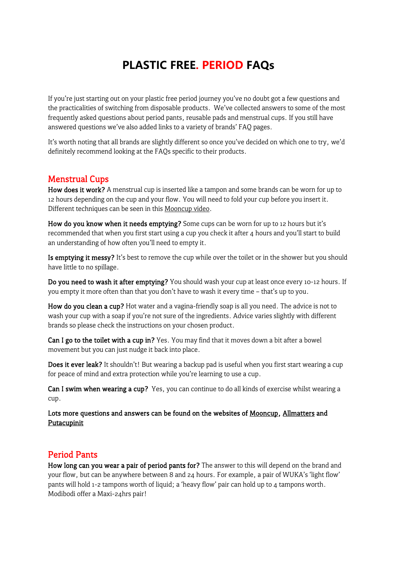## **PLASTIC FREE. PERIOD FAQs**

If you're just starting out on your plastic free period journey you've no doubt got a few questions and the practicalities of switching from disposable products. We've collected answers to some of the most frequently asked questions about period pants, reusable pads and menstrual cups. If you still have answered questions we've also added links to a variety of brands' FAQ pages.

It's worth noting that all brands are slightly different so once you've decided on which one to try, we'd definitely recommend looking at the FAQs specific to their products.

## Menstrual Cups

How does it work? A menstrual cup is inserted like a tampon and some brands can be worn for up to 12 hours depending on the cup and your flow. You will need to fold your cup before you insert it. Different techniques can be seen in this [Mooncup video.](https://www.youtube.com/watch?v=ci_qbmvS6ys)

How do you know when it needs emptying? Some cups can be worn for up to 12 hours but it's recommended that when you first start using a cup you check it after 4 hours and you'll start to build an understanding of how often you'll need to empty it.

Is emptying it messy? It's best to remove the cup while over the toilet or in the shower but you should have little to no spillage.

Do you need to wash it after emptying? You should wash your cup at least once every 10-12 hours. If you empty it more often than that you don't have to wash it every time – that's up to you.

How do you clean a cup? Hot water and a vagina-friendly soap is all you need. The advice is not to wash your cup with a soap if you're not sure of the ingredients. Advice varies slightly with different brands so please check the instructions on your chosen product.

Can I go to the toilet with a cup in? Yes. You may find that it moves down a bit after a bowel movement but you can just nudge it back into place.

Does it ever leak? It shouldn't! But wearing a backup pad is useful when you first start wearing a cup for peace of mind and extra protection while you're learning to use a cup.

Can I swim when wearing a cup? Yes, you can continue to do all kinds of exercise whilst wearing a cup.

Lots more questions and answers can be found on the websites of [Mooncup,](https://www.mooncup.co.uk/faqs/) [Allmatters](https://allmatters.helpscoutdocs.com/category/9-organicup-questions) and [Putacupinit](https://putacupinit.com/faq) 

## Period Pants

How long can you wear a pair of period pants for? The answer to this will depend on the brand and your flow, but can be anywhere between 8 and 24 hours. For example, a pair of WUKA's 'light flow' pants will hold 1-2 tampons worth of liquid; a 'heavy flow' pair can hold up to 4 tampons worth. Modibodi offer a Maxi-24hrs pair!